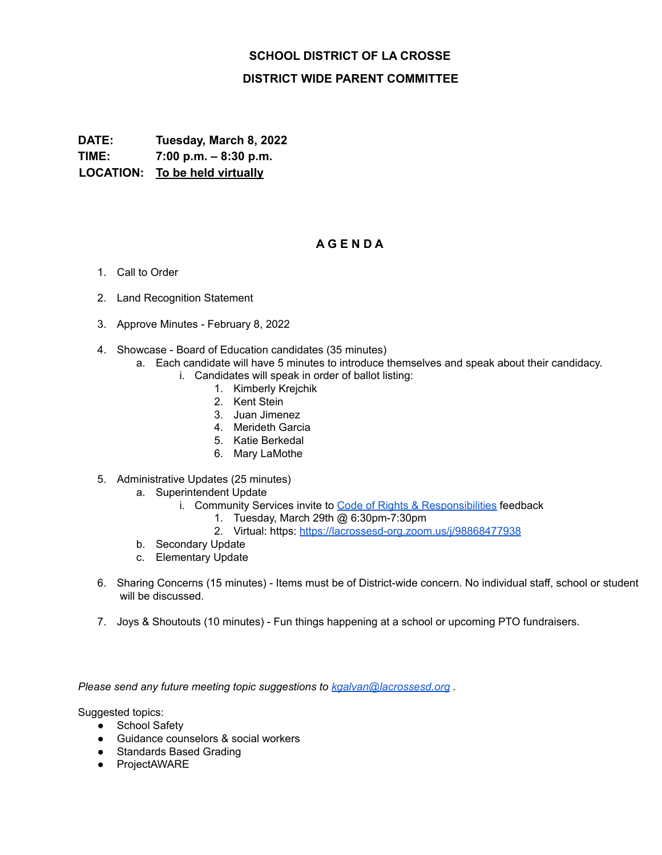## **SCHOOL DISTRICT OF LA CROSSE DISTRICT WIDE PARENT COMMITTEE**

**DATE: Tuesday, March 8, 2022 TIME: 7:00 p.m. – 8:30 p.m. LOCATION: To be held virtually**

## **A G E N D A**

- 1. Call to Order
- 2. Land Recognition Statement
- 3. Approve Minutes February 8, 2022
- 4. Showcase Board of Education candidates (35 minutes)
	- a. Each candidate will have 5 minutes to introduce themselves and speak about their candidacy.
		- i. Candidates will speak in order of ballot listing:
			- 1. Kimberly Krejchik
			- 2. Kent Stein
			- 3. Juan Jimenez
			- 4. Merideth Garcia
			- 5. Katie Berkedal
			- 6. Mary LaMothe
- 5. Administrative Updates (25 minutes)
	- a. Superintendent Update
		- i. Community Services invite to Code of Rights & [Responsibilities](https://www.lacrosseschools.org/wp-content/uploads/2021/05/2021-22-Code-of-Rights-and-Responsibilities.pdf) feedback
			- 1. Tuesday, March 29th @ 6:30pm-7:30pm
			- 2. Virtual: https: <https://lacrossesd-org.zoom.us/j/98868477938>
	- b. Secondary Update
	- c. Elementary Update
- 6. Sharing Concerns (15 minutes) Items must be of District-wide concern. No individual staff, school or student will be discussed.
- 7. Joys & Shoutouts (10 minutes) Fun things happening at a school or upcoming PTO fundraisers.

*Please send any future meeting topic suggestions to [kgalvan@lacrossesd.org](mailto:kgalvan@lacrossesd.org) .*

Suggested topics:

- School Safetv
- Guidance counselors & social workers
- Standards Based Grading
- ProjectAWARE